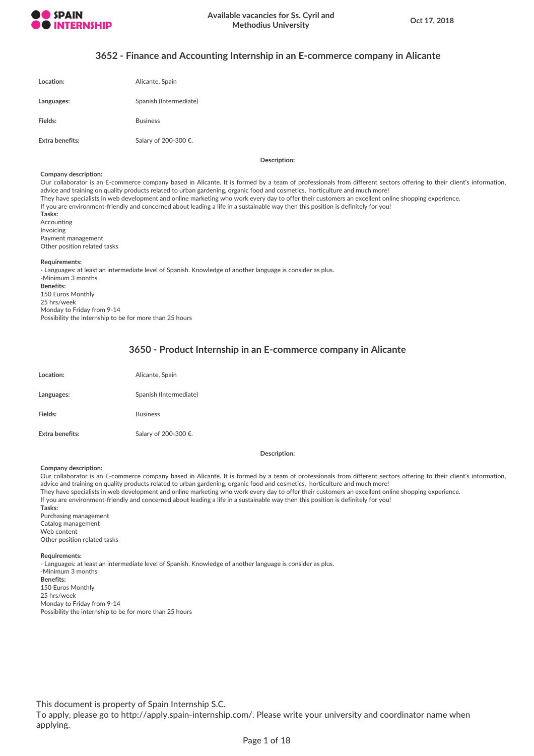

## **3652 - Finance and Accounting Internship in an E-commerce company in Alicante**

| Location:              | Alicante, Spain        |
|------------------------|------------------------|
| Languages:             | Spanish (Intermediate) |
| Fields:                | <b>Business</b>        |
| <b>Extra benefits:</b> | Salary of 200-300 €.   |

**Description:**

#### **Company description:**

Our collaborator is an E-commerce company based in Alicante. It is formed by a team of professionals from different sectors offering to their client's information, advice and training on quality products related to urban gardening, organic food and cosmetics, horticulture and much more! They have specialists in web development and online marketing who work every day to offer their customers an excellent online shopping experience. If you are environment-friendly and concerned about leading a life in a sustainable way then this position is definitely for you! **Tasks:** Accounting Invoicing Payment management Other position related tasks **Requirements:** - Languages: at least an intermediate level of Spanish. Knowledge of another language is consider as plus. -Minimum 3 months **Benefits:** 150 Euros Monthly 25 hrs/week

Monday to Friday from 9-14 Possibility the internship to be for more than 25 hours

## **3650 - Product Internship in an E-commerce company in Alicante**

| Location:       | Alicante, Spain        |
|-----------------|------------------------|
| Languages:      | Spanish (Intermediate) |
| Fields:         | <b>Business</b>        |
| Extra benefits: | Salary of 200-300 €.   |

### **Description:**

### **Company description:**

Our collaborator is an E-commerce company based in Alicante. It is formed by a team of professionals from different sectors offering to their client's information, advice and training on quality products related to urban gardening, organic food and cosmetics, horticulture and much more! They have specialists in web development and online marketing who work every day to offer their customers an excellent online shopping experience. If you are environment-friendly and concerned about leading a life in a sustainable way then this position is definitely for you! **Tasks:** Purchasing management Catalog management Web content Other position related tasks **Requirements:** - Languages: at least an intermediate level of Spanish. Knowledge of another language is consider as plus. -Minimum 3 months

**Benefits:** 150 Euros Monthly 25 hrs/week Monday to Friday from 9-14 Possibility the internship to be for more than 25 hours

This document is property of Spain Internship S.C.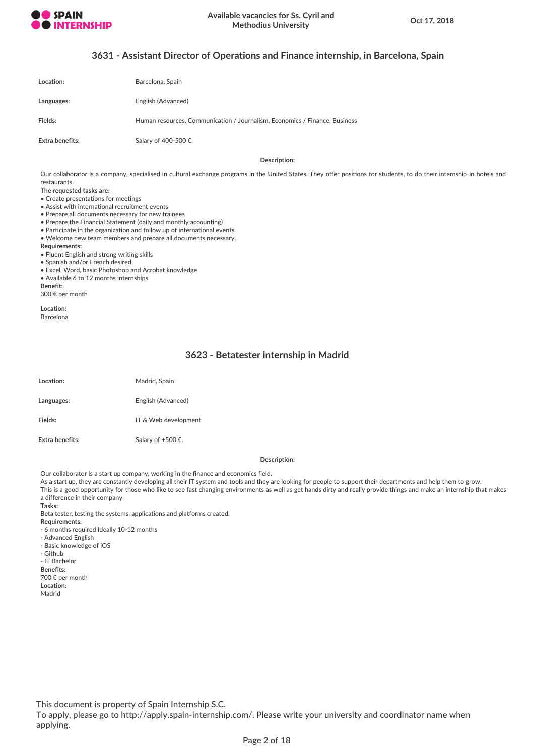

# **3631 - Assistant Director of Operations and Finance internship, in Barcelona, Spain**

| Location:       | Barcelona, Spain                                                           |
|-----------------|----------------------------------------------------------------------------|
| Languages:      | English (Advanced)                                                         |
| Fields:         | Human resources, Communication / Journalism, Economics / Finance, Business |
| Extra benefits: | Salary of 400-500 €.                                                       |

**Description:**

Our collaborator is a company, specialised in cultural exchange programs in the United States. They offer positions for students, to do their internship in hotels and restaurants.

**The requested tasks are:**

• Create presentations for meetings

- Assist with international recruitment events
- Prepare all documents necessary for new trainees
- Prepare the Financial Statement (daily and monthly accounting)
- Participate in the organization and follow up of international events • Welcome new team members and prepare all documents necessary.
- **Requirements:**
- Fluent English and strong writing skills
- Spanish and/or French desired
- Excel, Word, basic Photoshop and Acrobat knowledge
- Available 6 to 12 months internships

**Benefit:** 300 € per month

**Location:** Barcelona

# **3623 - Betatester internship in Madrid**

| Location:       | Madrid, Spain        |
|-----------------|----------------------|
| Languages:      | English (Advanced)   |
| Fields:         | IT & Web development |
| Extra benefits: | Salary of +500 €.    |

#### **Description:**

Our collaborator is a start up company, working in the finance and economics field.

As a start up, they are constantly developing all their IT system and tools and they are looking for people to support their departments and help them to grow.

This is a good opportunity for those who like to see fast changing environments as well as get hands dirty and really provide things and make an internship that makes a difference in their company.

**Tasks:**

Beta tester, testing the systems, applications and platforms created.

- **Requirements:**
- 6 months required Ideally 10-12 months
- Advanced English
- Basic knowledge of iOS - Github
- IT Bachelor
- 
- **Benefits:** 700 € per month
- **Location:**
- Madrid

This document is property of Spain Internship S.C.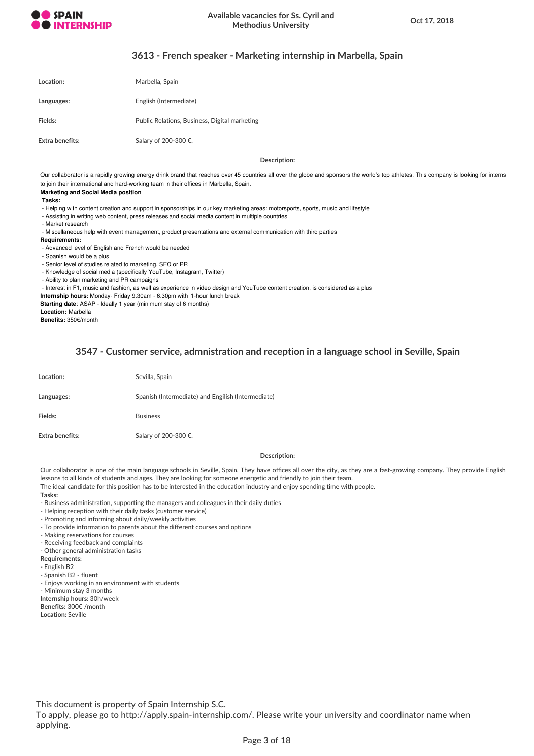

## **3613 - French speaker - Marketing internship in Marbella, Spain**

| Location:       | Marbella, Spain                               |
|-----------------|-----------------------------------------------|
| Languages:      | English (Intermediate)                        |
| Fields:         | Public Relations, Business, Digital marketing |
| Extra benefits: | Salary of 200-300 €.                          |

**Description:**

Our collaborator is a rapidly growing energy drink brand that reaches over 45 countries all over the globe and sponsors the world's top athletes. This company is looking for interns to join their international and hard-working team in their offices in Marbella, Spain.

## **Marketing and Social Media position**

### **Tasks:**

- Helping with content creation and support in sponsorships in our key marketing areas: motorsports, sports, music and lifestyle

- Assisting in writing web content, press releases and social media content in multiple countries
- Market research

- Miscellaneous help with event management, product presentations and external communication with third parties

- **Requirements:**
- Advanced level of English and French would be needed
- Spanish would be a plus
- Senior level of studies related to marketing, SEO or PR
- Knowledge of social media (specifically YouTube, Instagram, Twitter)
- Ability to plan marketing and PR campaigns

- Interest in F1, music and fashion, as well as experience in video design and YouTube content creation, is considered as a plus

**Internship hours:** Monday- Friday 9.30am - 6.30pm with 1-hour lunch break

**Starting date**: ASAP - Ideally 1 year (minimum stay of 6 months)

**Location:** Marbella

**Benefits:** 350€/month

## **3547 - Customer service, admnistration and reception in a language school in Seville, Spain**

| Location:       | Sevilla, Spain                                     |
|-----------------|----------------------------------------------------|
| Languages:      | Spanish (Intermediate) and Engilish (Intermediate) |
| Fields:         | <b>Business</b>                                    |
| Extra benefits: | Salary of 200-300 €.                               |

#### **Description:**

Our collaborator is one of the main language schools in Seville, Spain. They have offices all over the city, as they are a fast-growing company. They provide English lessons to all kinds of students and ages. They are looking for someone energetic and friendly to join their team. The ideal candidate for this position has to be interested in the education industry and enjoy spending time with people.

**Tasks:**

- Business administration, supporting the managers and colleagues in their daily duties
- Helping reception with their daily tasks (customer service)
- Promoting and informing about daily/weekly activities
- To provide information to parents about the different courses and options
- Making reservations for courses
- Receiving feedback and complaints
- Other general administration tasks
- **Requirements:**
- English B2
- Spanish B2 fluent
- Enjoys working in an environment with students
- Minimum stay 3 months
- **Internship hours:** 30h/week
- **Benefits:** 300€ /month
- **Location:** Seville

This document is property of Spain Internship S.C.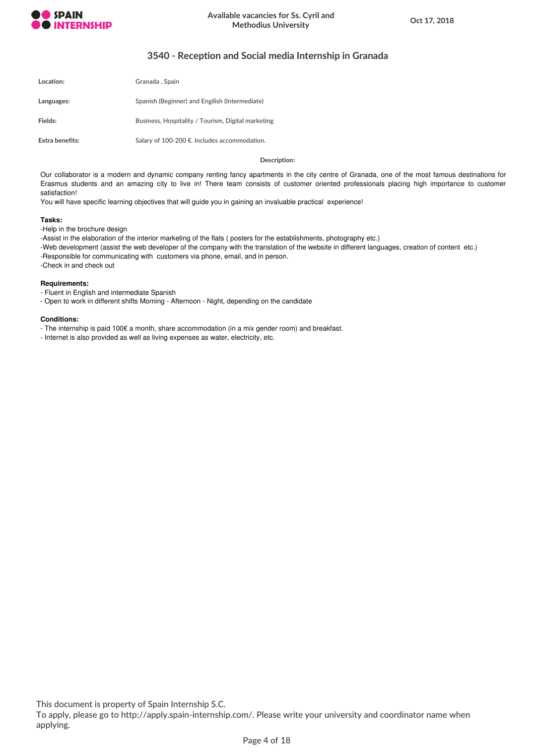

# **3540 - Reception and Social media Internship in Granada**

| Location:       | Granada, Spain                                     |
|-----------------|----------------------------------------------------|
| Languages:      | Spanish (Beginner) and Engilish (Intermediate)     |
| Fields:         | Business, Hospitality / Tourism, Digital marketing |
| Extra benefits: | Salary of 100-200 €. Includes accommodation.       |

**Description:**

Our collaborator is a modern and dynamic company renting fancy apartments in the city centre of Granada, one of the most famous destinations for Erasmus students and an amazing city to live in! There team consists of customer oriented professionals placing high importance to customer satisfaction!

You will have specific learning objectives that will guide you in gaining an invaluable practical experience!

### **Tasks:**

-Help in the brochure design

-Assist in the elaboration of the interior marketing of the flats ( posters for the establishments, photography etc.)

-Web development (assist the web developer of the company with the translation of the website in different languages, creation of content etc.)

-Responsible for communicating with customers via phone, email, and in person.

-Check in and check out

### **Requirements:**

- Fluent in English and intermediate Spanish

- Open to work in different shifts Morning - Afternoon - Night, depending on the candidate

### **Conditions:**

- The internship is paid 100€ a month, share accommodation (in a mix gender room) and breakfast.

- Internet is also provided as well as living expenses as water, electricity, etc.

This document is property of Spain Internship S.C.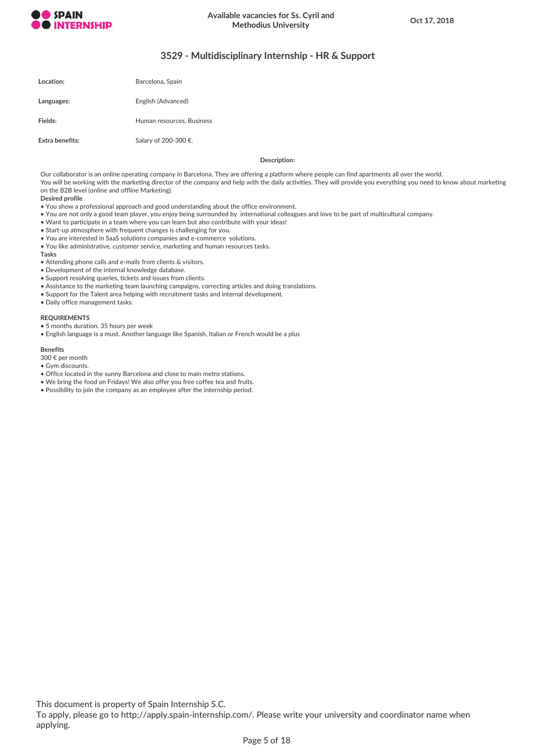

# **3529 - Multidisciplinary Internship - HR & Support**

| Location:       | Barcelona, Spain          |
|-----------------|---------------------------|
| Languages:      | English (Advanced)        |
| Fields:         | Human resources, Business |
| Extra benefits: | Salary of 200-300 €.      |

**Description:**

Our collaborator is an online operating company in Barcelona. They are offering a platform where people can find apartments all over the world. You will be working with the marketing director of the company and help with the daily activities. They will provide you everything you need to know about marketing on the B2B level (online and offline Marketing).

**Desired profile**

- You show a professional approach and good understanding about the office environment.
- You are not only a good team player, you enjoy being surrounded by international colleagues and love to be part of multicultural company.
- Want to participate in a team where you can learn but also contribute with your ideas!
- Start-up atmosphere with frequent changes is challenging for you.
- You are interested in SaaS solutions companies and e-commerce solutions.
- You like administrative, customer service, marketing and human resources tasks.

#### **Tasks**

- Attending phone calls and e-mails from clients & visitors.
- Development of the internal knowledge database.
- Support resolving queries, tickets and issues from clients.
- Assistance to the marketing team launching campaigns, correcting articles and doing translations.
- Support for the Talent area helping with recruitment tasks and internal development.
- Daily office management tasks.

### **REQUIREMENTS**

- 5 months duration. 35 hours per week
- English language is a must. Another language like Spanish, Italian or French would be a plus

## **Benefits**

- 300 € per month
- Gym discounts.
- Office located in the sunny Barcelona and close to main metro stations.
- We bring the food on Fridays! We also offer you free coffee tea and fruits.
- Possibility to join the company as an employee after the internship period.

This document is property of Spain Internship S.C.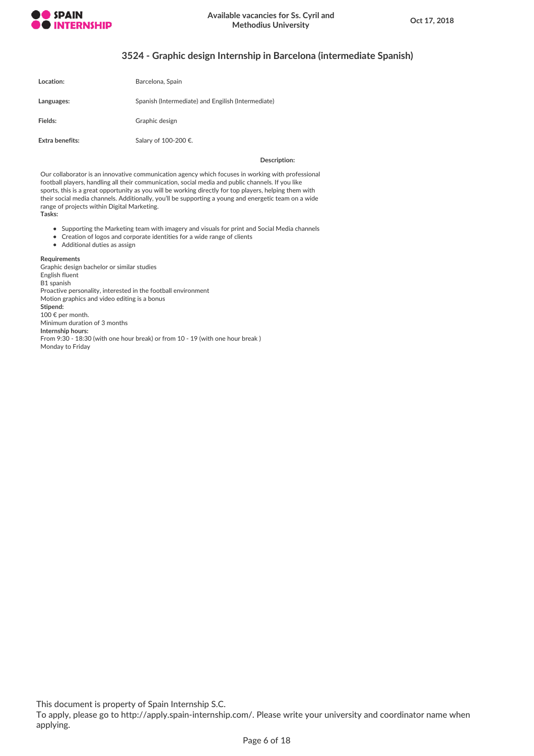

# **3524 - Graphic design Internship in Barcelona (intermediate Spanish)**

| Location:       | Barcelona, Spain                                   |
|-----------------|----------------------------------------------------|
| Languages:      | Spanish (Intermediate) and Engilish (Intermediate) |
| Fields:         | Graphic design                                     |
| Extra benefits: | Salary of 100-200 €.                               |

### **Description:**

Our collaborator is an innovative communication agency which focuses in working with professional football players, handling all their communication, social media and public channels. If you like sports, this is a great opportunity as you will be working directly for top players, helping them with their social media channels. Additionally, you'll be supporting a young and energetic team on a wide range of projects within Digital Marketing. **Tasks:**

- Supporting the Marketing team with imagery and visuals for print and Social Media channels
- Creation of logos and corporate identities for a wide range of clients
- Additional duties as assign

### **Requirements**

Graphic design bachelor or similar studies English fluent B1 spanish Proactive personality, interested in the football environment Motion graphics and video editing is a bonus **Stipend:** 100 € per month. Minimum duration of 3 months **Internship hours:** From 9:30 - 18:30 (with one hour break) or from 10 - 19 (with one hour break ) Monday to Friday

This document is property of Spain Internship S.C.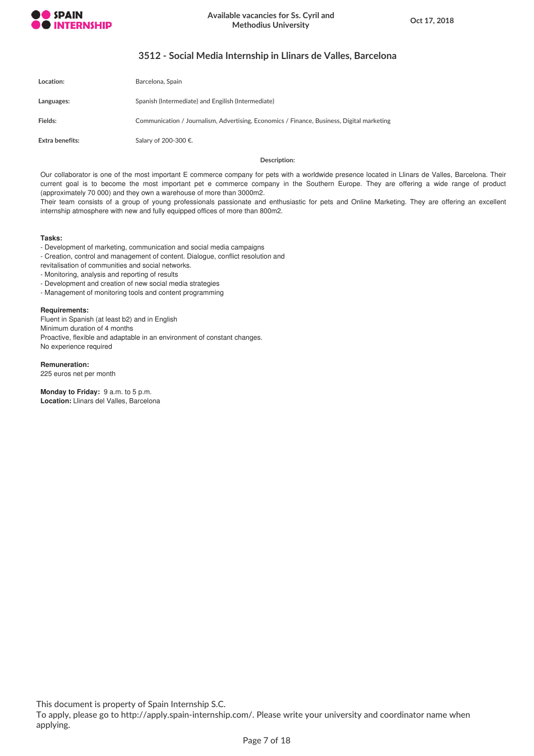

# **3512 - Social Media Internship in Llinars de Valles, Barcelona**

| Location:       | Barcelona, Spain                                                                          |
|-----------------|-------------------------------------------------------------------------------------------|
| Languages:      | Spanish (Intermediate) and Engilish (Intermediate)                                        |
| Fields:         | Communication / Journalism, Advertising, Economics / Finance, Business, Digital marketing |
| Extra benefits: | Salary of 200-300 €.                                                                      |

### **Description:**

Our collaborator is one of the most important E commerce company for pets with a worldwide presence located in Llinars de Valles, Barcelona. Their current goal is to become the most important pet e commerce company in the Southern Europe. They are offering a wide range of product (approximately 70 000) and they own a warehouse of more than 3000m2.

Their team consists of a group of young professionals passionate and enthusiastic for pets and Online Marketing. They are offering an excellent internship atmosphere with new and fully equipped offices of more than 800m2.

### **Tasks:**

- Development of marketing, communication and social media campaigns

- Creation, control and management of content. Dialogue, conflict resolution and

revitalisation of communities and social networks.

- Monitoring, analysis and reporting of results

- Development and creation of new social media strategies

- Management of monitoring tools and content programming

## **Requirements:**

Fluent in Spanish (at least b2) and in English Minimum duration of 4 months Proactive, flexible and adaptable in an environment of constant changes. No experience required

**Remuneration:**

225 euros net per month

**Monday to Friday:** 9 a.m. to 5 p.m. **Location:** Llinars del Valles, Barcelona

This document is property of Spain Internship S.C.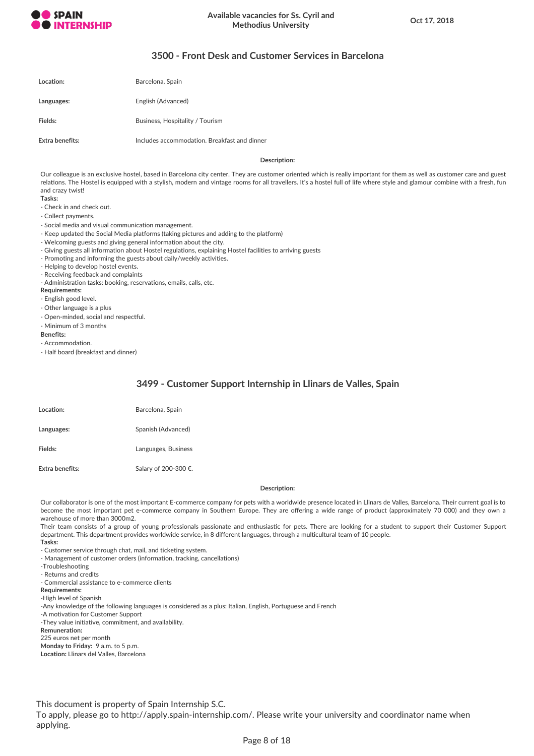

# **3500 - Front Desk and Customer Services in Barcelona**

| Location:       | Barcelona, Spain                             |
|-----------------|----------------------------------------------|
| Languages:      | English (Advanced)                           |
| Fields:         | Business, Hospitality / Tourism              |
| Extra benefits: | Includes accommodation. Breakfast and dinner |

### **Description:**

Our colleague is an exclusive hostel, based in Barcelona city center. They are customer oriented which is really important for them as well as customer care and guest relations. The Hostel is equipped with a stylish, modern and vintage rooms for all travellers. It's a hostel full of life where style and glamour combine with a fresh, fun and crazy twist!

- **Tasks:**
- Check in and check out.
- Collect payments.
- Social media and visual communication management.
- Keep updated the Social Media platforms (taking pictures and adding to the platform)
- Welcoming guests and giving general information about the city.
- Giving guests all information about Hostel regulations, explaining Hostel facilities to arriving guests
- Promoting and informing the guests about daily/weekly activities.
- Helping to develop hostel events.
- Receiving feedback and complaints
- Administration tasks: booking, reservations, emails, calls, etc.

### **Requirements:**

- English good level.
- Other language is a plus
- Open-minded, social and respectful.
- Minimum of 3 months

#### **Benefits:**

- Accommodation.

- Half board (breakfast and dinner)

## **3499 - Customer Support Internship in Llinars de Valles, Spain**

| Location:       | Barcelona, Spain     |
|-----------------|----------------------|
| Languages:      | Spanish (Advanced)   |
| Fields:         | Languages, Business  |
| Extra benefits: | Salary of 200-300 €. |

## **Description:**

Our collaborator is one of the most important E-commerce company for pets with a worldwide presence located in Llinars de Valles, Barcelona. Their current goal is to become the most important pet e-commerce company in Southern Europe. They are offering a wide range of product (approximately 70 000) and they own a warehouse of more than 3000m2.

Their team consists of a group of young professionals passionate and enthusiastic for pets. There are looking for a student to support their Customer Support department. This department provides worldwide service, in 8 different languages, through a multicultural team of 10 people.

- **Tasks:**
- Customer service through chat, mail, and ticketing system.
- Management of customer orders (information, tracking, cancellations)
- -Troubleshooting
- Returns and credits
- Commercial assistance to e-commerce clients
- **Requirements:**

-High level of Spanish

-Any knowledge of the following languages is considered as a plus: Italian, English, Portuguese and French

-A motivation for Customer Support

-They value initiative, commitment, and availability.

**Remuneration:**

225 euros net per month

**Monday to Friday:** 9 a.m. to 5 p.m.

**Location:** Llinars del Valles, Barcelona

This document is property of Spain Internship S.C.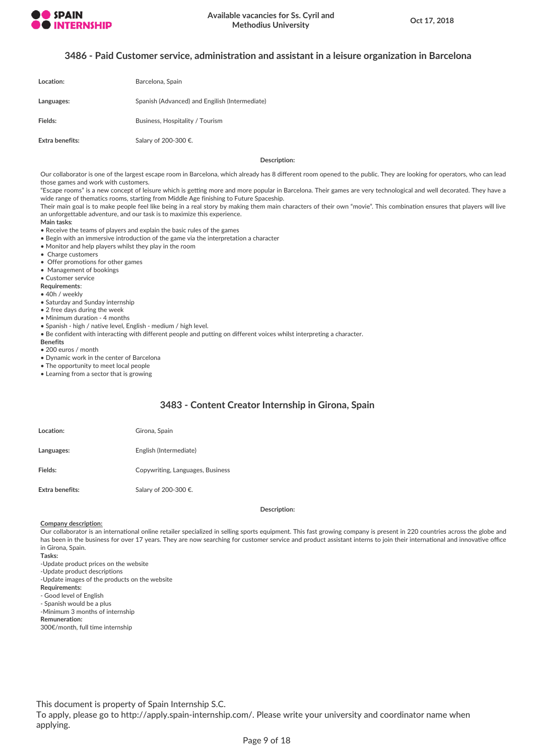

## **3486 - Paid Customer service, administration and assistant in a leisure organization in Barcelona**

| Location:       | Barcelona, Spain                               |
|-----------------|------------------------------------------------|
| Languages:      | Spanish (Advanced) and Engilish (Intermediate) |
| Fields:         | Business, Hospitality / Tourism                |
| Extra benefits: | Salary of 200-300 €.                           |

**Description:**

Our collaborator is one of the largest escape room in Barcelona, which already has 8 different room opened to the public. They are looking for operators, who can lead those games and work with customers.

"Escape rooms" is a new concept of leisure which is getting more and more popular in Barcelona. Their games are very technological and well decorated. They have a wide range of thematics rooms, starting from Middle Age finishing to Future Spaceship.

Their main goal is to make people feel like being in a real story by making them main characters of their own "movie". This combination ensures that players will live an unforgettable adventure, and our task is to maximize this experience.

#### **Main tasks**:

- Receive the teams of players and explain the basic rules of the games
- Begin with an immersive introduction of the game via the interpretation a character
- Monitor and help players whilst they play in the room
- Charge customers
- Offer promotions for other games
- Management of bookings
- Customer service
- **Requirements**:
- 40h / weekly
- Saturday and Sunday internship
- 2 free days during the week
- Minimum duration 4 months
- Spanish high / native level, English medium / high level.
- Be confident with interacting with different people and putting on different voices whilst interpreting a character.
- **Benefits**
- 200 euros / month
- Dynamic work in the center of Barcelona
- The opportunity to meet local people
- Learning from a sector that is growing

## **3483 - Content Creator Internship in Girona, Spain**

| Location:       | Girona, Spain                    |
|-----------------|----------------------------------|
| Languages:      | English (Intermediate)           |
| Fields:         | Copywriting, Languages, Business |
| Extra benefits: | Salary of 200-300 €.             |

### **Description:**

#### **Company description:**

Our collaborator is an international online retailer specialized in selling sports equipment. This fast growing company is present in 220 countries across the globe and has been in the business for over 17 years. They are now searching for customer service and product assistant interns to join their international and innovative office in Girona, Spain.

**Tasks:**

- -Update product prices on the website
- -Update product descriptions
- -Update images of the products on the website
- **Requirements:**
- Good level of English
- Spanish would be a plus
- -Minimum 3 months of internship
- **Remuneration:**
- 300€/month, full time internship

This document is property of Spain Internship S.C.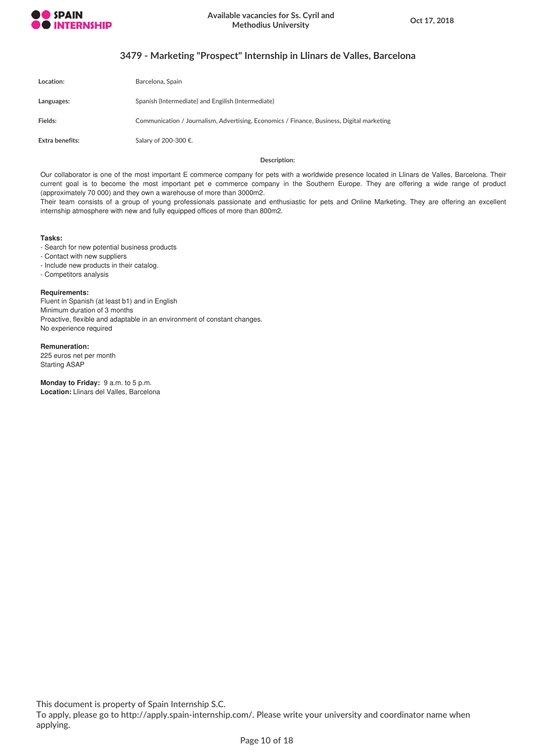

# **3479 - Marketing "Prospect" Internship in Llinars de Valles, Barcelona**

| Location:       | Barcelona, Spain                                                                          |
|-----------------|-------------------------------------------------------------------------------------------|
| Languages:      | Spanish (Intermediate) and Engilish (Intermediate)                                        |
| <b>Fields:</b>  | Communication / Journalism, Advertising, Economics / Finance, Business, Digital marketing |
| Extra benefits: | Salary of 200-300 €.                                                                      |

### **Description:**

Our collaborator is one of the most important E commerce company for pets with a worldwide presence located in Llinars de Valles, Barcelona. Their current goal is to become the most important pet e commerce company in the Southern Europe. They are offering a wide range of product (approximately 70 000) and they own a warehouse of more than 3000m2.

Their team consists of a group of young professionals passionate and enthusiastic for pets and Online Marketing. They are offering an excellent internship atmosphere with new and fully equipped offices of more than 800m2.

## **Tasks:**

- Search for new potential business products

- Contact with new suppliers
- Include new products in their catalog.
- Competitors analysis

**Requirements:**

Fluent in Spanish (at least b1) and in English Minimum duration of 3 months Proactive, flexible and adaptable in an environment of constant changes. No experience required

**Remuneration:** 225 euros net per month Starting ASAP

**Monday to Friday:** 9 a.m. to 5 p.m. **Location:** Llinars del Valles, Barcelona

This document is property of Spain Internship S.C.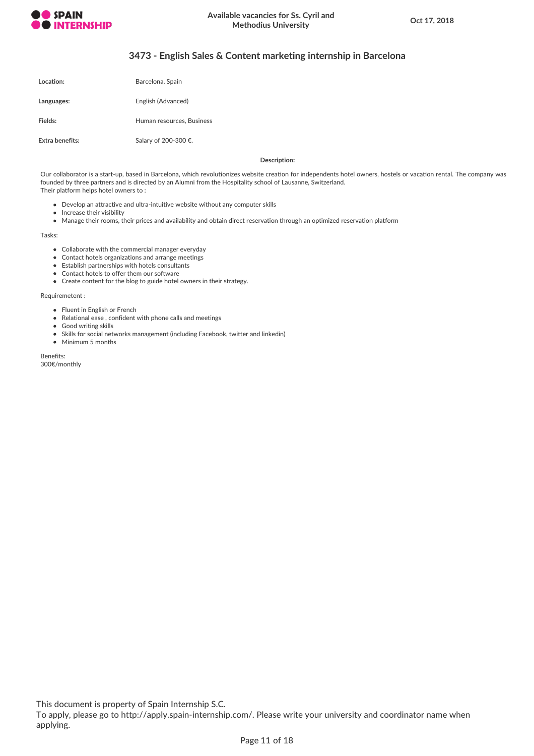

# **3473 - English Sales & Content marketing internship in Barcelona**

| Location:       | Barcelona, Spain          |
|-----------------|---------------------------|
| Languages:      | English (Advanced)        |
| Fields:         | Human resources. Business |
| Extra benefits: | Salary of 200-300 €.      |

**Description:**

Our collaborator is a start-up, based in Barcelona, which revolutionizes website creation for independents hotel owners, hostels or vacation rental. The company was founded by three partners and is directed by an Alumni from the Hospitality school of Lausanne, Switzerland. Their platform helps hotel owners to :

- Develop an attractive and ultra-intuitive website without any computer skills
- Increase their visibility
- Manage their rooms, their prices and availability and obtain direct reservation through an optimized reservation platform

Tasks:

- Collaborate with the commercial manager everyday
- Contact hotels organizations and arrange meetings
- Establish partnerships with hotels consultants
- Contact hotels to offer them our software
- Create content for the blog to guide hotel owners in their strategy.

Requiremetent :

- Fluent in English or French
- Relational ease , confident with phone calls and meetings
- Good writing skills
- Skills for social networks management (including Facebook, twitter and linkedin)
- Minimum 5 months

Benefits: 300€/monthly

This document is property of Spain Internship S.C.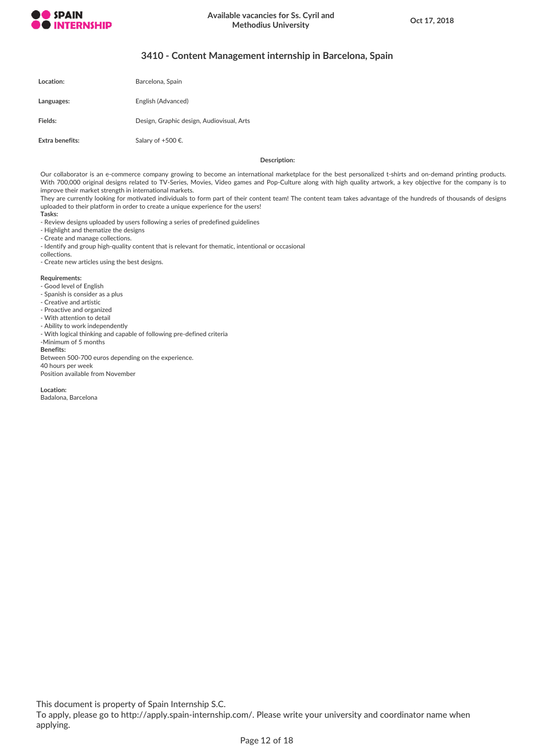

# **3410 - Content Management internship in Barcelona, Spain**

| Location:       | Barcelona, Spain                          |
|-----------------|-------------------------------------------|
| Languages:      | English (Advanced)                        |
| Fields:         | Design, Graphic design, Audiovisual, Arts |
| Extra benefits: | Salary of +500 €.                         |

**Description:**

Our collaborator is an e-commerce company growing to become an international marketplace for the best personalized t-shirts and on-demand printing products. With 700,000 original designs related to TV-Series, Movies, Video games and Pop-Culture along with high quality artwork, a key objective for the company is to improve their market strength in international markets.

They are currently looking for motivated individuals to form part of their content team! The content team takes advantage of the hundreds of thousands of designs uploaded to their platform in order to create a unique experience for the users! **Tasks:**

- Review designs uploaded by users following a series of predefined guidelines

- Highlight and thematize the designs

- Create and manage collections.

- Identify and group high-quality content that is relevant for thematic, intentional or occasional

collections. - Create new articles using the best designs.

### **Requirements:**

- Good level of English

- Spanish is consider as a plus
- Creative and artistic
- Proactive and organized
- With attention to detail
- Ability to work independently
- With logical thinking and capable of following pre-defined criteria
- -Minimum of 5 months

#### **Benefits:**

Between 500-700 euros depending on the experience.

40 hours per week

Position available from November

**Location:**

Badalona, Barcelona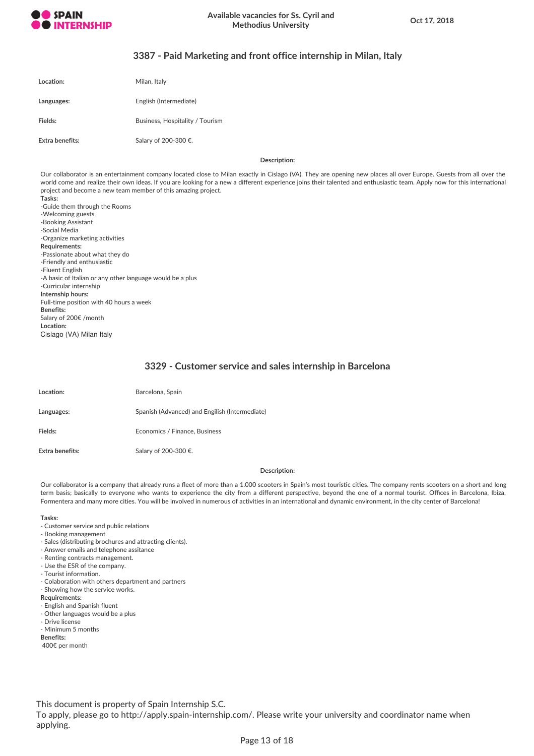

## **3387 - Paid Marketing and front office internship in Milan, Italy**

| Location:              | Milan, Italy                    |
|------------------------|---------------------------------|
| Languages:             | English (Intermediate)          |
| Fields:                | Business, Hospitality / Tourism |
| <b>Extra benefits:</b> | Salary of 200-300 €.            |

**Description:**

Our collaborator is an entertainment company located close to Milan exactly in Cislago (VA). They are opening new places all over Europe. Guests from all over the world come and realize their own ideas. If you are looking for a new a different experience joins their talented and enthusiastic team. Apply now for this international project and become a new team member of this amazing project.

**Tasks:** -Guide them through the Rooms -Welcoming guests -Booking Assistant -Social Media -Organize marketing activities **Requirements:** -Passionate about what they do -Friendly and enthusiastic -Fluent English -A basic of Italian or any other language would be a plus -Curricular internship **Internship hours:** Full-time position with 40 hours a week **Benefits:** Salary of 200€ /month **Location:** Cislago (VA) Milan Italy

## **3329 - Customer service and sales internship in Barcelona**

| Location:       | Barcelona, Spain                               |
|-----------------|------------------------------------------------|
| Languages:      | Spanish (Advanced) and Engilish (Intermediate) |
| Fields:         | Economics / Finance, Business                  |
| Extra benefits: | Salary of 200-300 €.                           |

### **Description:**

Our collaborator is a company that already runs a fleet of more than a 1.000 scooters in Spain's most touristic cities. The company rents scooters on a short and long term basis; basically to everyone who wants to experience the city from a different perspective, beyond the one of a normal tourist. Offices in Barcelona, Ibiza, Formentera and many more cities. You will be involved in numerous of activities in an international and dynamic environment, in the city center of Barcelona!

#### **Tasks:**

- Customer service and public relations
- Booking management
- Sales (distributing brochures and attracting clients).
- Answer emails and telephone assitance
- Renting contracts management.
- Use the ESR of the company.
- Tourist information.
- Colaboration with others department and partners
- Showing how the service works.
- **Requirements:**
- English and Spanish fluent
- Other languages would be a plus
- Drive license
- Minimum 5 months
- **Benefits:**
- 400€ per month

This document is property of Spain Internship S.C.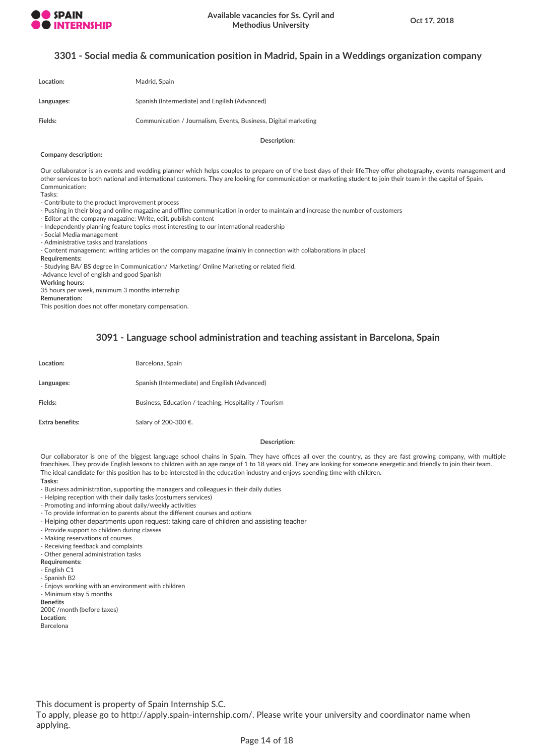

## **3301 - Social media & communication position in Madrid, Spain in a Weddings organization company**

| Location:  | Madrid, Spain                                                   |
|------------|-----------------------------------------------------------------|
| Languages: | Spanish (Intermediate) and Engilish (Advanced)                  |
| Fields:    | Communication / Journalism, Events, Business, Digital marketing |

**Description:**

#### **Company description:**

Our collaborator is an events and wedding planner which helps couples to prepare on of the best days of their life.They offer photography, events management and other services to both national and international customers. They are looking for communication or marketing student to join their team in the capital of Spain. Communication:

Tasks:

- Contribute to the product improvement process

- Pushing in their blog and online magazine and offline communication in order to maintain and increase the number of customers
- Editor at the company magazine: Write, edit, publish content

- Independently planning feature topics most interesting to our international readership

- Social Media management

- Administrative tasks and translations

- Content management: writing articles on the company magazine (mainly in connection with collaborations in place)

**Requirements:**

- Studying BA/ BS degree in Communication/ Marketing/ Online Marketing or related field.

-Advance level of english and good Spanish

**Working hours:**

35 hours per week, minimum 3 months internship

**Remuneration:**

This position does not offer monetary compensation.

# **3091 - Language school administration and teaching assistant in Barcelona, Spain**

| Location:       | Barcelona, Spain                                      |
|-----------------|-------------------------------------------------------|
| Languages:      | Spanish (Intermediate) and Engilish (Advanced)        |
| Fields:         | Business, Education / teaching, Hospitality / Tourism |
| Extra benefits: | Salary of 200-300 €.                                  |

#### **Description:**

Our collaborator is one of the biggest language school chains in Spain. They have offices all over the country, as they are fast growing company, with multiple franchises. They provide English lessons to children with an age range of 1 to 18 years old. They are looking for someone energetic and friendly to join their team. The ideal candidate for this position has to be interested in the education industry and enjoys spending time with children. **Tasks:**

- Business administration, supporting the managers and colleagues in their daily duties

- Helping reception with their daily tasks (costumers services)

- Promoting and informing about daily/weekly activities

- To provide information to parents about the different courses and options

- Helping other departments upon request: taking care of children and assisting teacher
- Provide support to children during classes

- Making reservations of courses

- Receiving feedback and complaints

- Other general administration tasks

**Requirements:**

- English C1

- Spanish B2

- Enjoys working with an environment with children

- Minimum stay 5 months

**Benefits**

200€ /month (before taxes)

**Location:**

Barcelona

This document is property of Spain Internship S.C.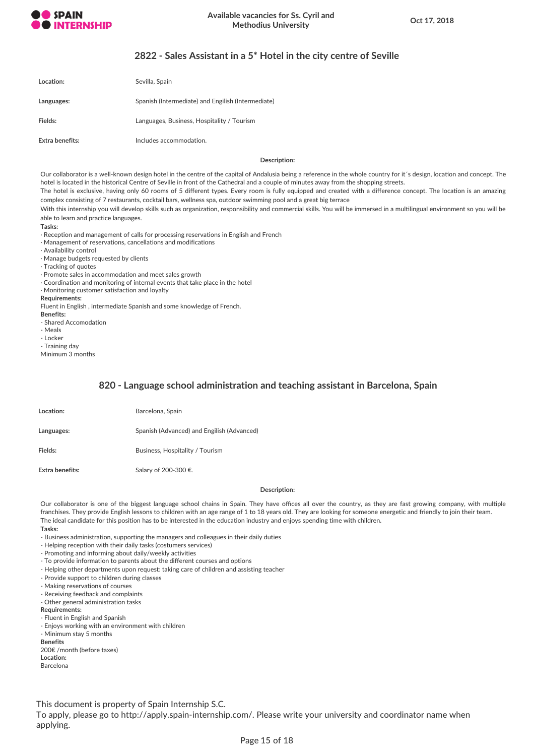

# **2822 - Sales Assistant in a 5\* Hotel in the city centre of Seville**

| Location:       | Sevilla, Spain                                     |
|-----------------|----------------------------------------------------|
| Languages:      | Spanish (Intermediate) and Engilish (Intermediate) |
| Fields:         | Languages, Business, Hospitality / Tourism         |
| Extra benefits: | Includes accommodation.                            |

### **Description:**

Our collaborator is a well-known design hotel in the centre of the capital of Andalusia being a reference in the whole country for it's design, location and concept. The hotel is located in the historical Centre of Seville in front of the Cathedral and a couple of minutes away from the shopping streets.

The hotel is exclusive, having only 60 rooms of 5 different types. Every room is fully equipped and created with a difference concept. The location is an amazing complex consisting of 7 restaurants, cocktail bars, wellness spa, outdoor swimming pool and a great big terrace

With this internship you will develop skills such as organization, responsibility and commercial skills. You will be immersed in a multilingual environment so you will be able to learn and practice languages.

**Tasks:**

· Reception and management of calls for processing reservations in English and French

· Management of reservations, cancellations and modifications

· Availability control

· Manage budgets requested by clients

· Tracking of quotes

· Promote sales in accommodation and meet sales growth

· Coordination and monitoring of internal events that take place in the hotel

· Monitoring customer satisfaction and loyalty

**Requirements:**

Fluent in English , intermediate Spanish and some knowledge of French.

**Benefits:**

- Shared Accomodation

- Meals

- Locker

- Training day

Minimum 3 months

## **820 - Language school administration and teaching assistant in Barcelona, Spain**

| Location:       | Barcelona, Spain                           |
|-----------------|--------------------------------------------|
| Languages:      | Spanish (Advanced) and Engilish (Advanced) |
| Fields:         | Business, Hospitality / Tourism            |
| Extra benefits: | Salary of 200-300 €.                       |

### **Description:**

Our collaborator is one of the biggest language school chains in Spain. They have offices all over the country, as they are fast growing company, with multiple franchises. They provide English lessons to children with an age range of 1 to 18 years old. They are looking for someone energetic and friendly to join their team. The ideal candidate for this position has to be interested in the education industry and enjoys spending time with children. **Tasks:**

- Business administration, supporting the managers and colleagues in their daily duties

- Helping reception with their daily tasks (costumers services)

- Promoting and informing about daily/weekly activities

- To provide information to parents about the different courses and options

- Helping other departments upon request: taking care of children and assisting teacher

- Provide support to children during classes

- Making reservations of courses

- Receiving feedback and complaints

- Other general administration tasks

**Requirements:**

- Fluent in English and Spanish

- Enjoys working with an environment with children

- Minimum stay 5 months

**Benefits**

200€ /month (before taxes) **Location:**

Barcelona

This document is property of Spain Internship S.C.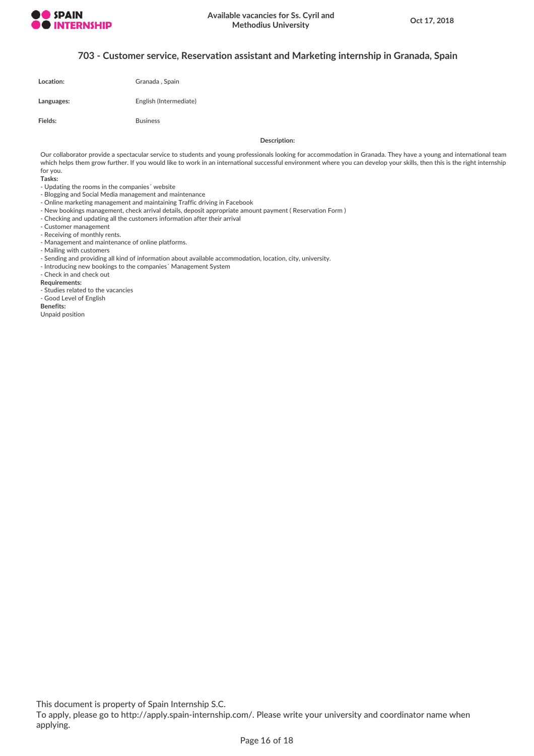

## **703 - Customer service, Reservation assistant and Marketing internship in Granada, Spain**

| Location:  | Granada, Spain         |
|------------|------------------------|
| Languages: | English (Intermediate) |

Fields: Business

**Description:**

Our collaborator provide a spectacular service to students and young professionals looking for accommodation in Granada. They have a young and international team which helps them grow further. If you would like to work in an international successful environment where you can develop your skills, then this is the right internship for you.

**Tasks:**

- Updating the rooms in the companies´ website
- Blogging and Social Media management and maintenance
- Online marketing management and maintaining Traffic driving in Facebook
- New bookings management, check arrival details, deposit appropriate amount payment ( Reservation Form )
- Checking and updating all the customers information after their arrival
- Customer management
- Receiving of monthly rents.
- Management and maintenance of online platforms.
- Mailing with customers
- Sending and providing all kind of information about available accommodation, location, city, university.
- Introducing new bookings to the companies´ Management System
- Check in and check out

### **Requirements:**

- Studies related to the vacancies
- Good Level of English

**Benefits:**

Unpaid position

This document is property of Spain Internship S.C.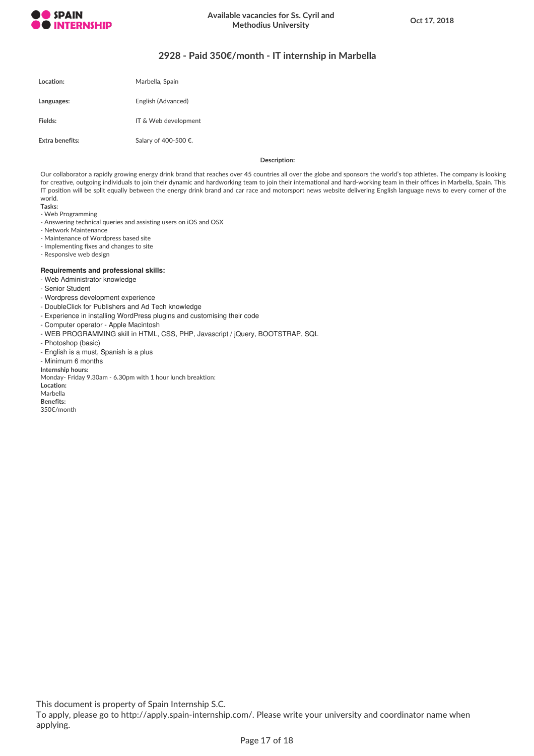

# **2928 - Paid 350€/month - IT internship in Marbella**

| Location:       | Marbella, Spain      |
|-----------------|----------------------|
| Languages:      | English (Advanced)   |
| Fields:         | IT & Web development |
| Extra benefits: | Salary of 400-500 €. |

### **Description:**

Our collaborator a rapidly growing energy drink brand that reaches over 45 countries all over the globe and sponsors the world's top athletes. The company is looking for creative, outgoing individuals to join their dynamic and hardworking team to join their international and hard-working team in their offices in Marbella, Spain. This IT position will be split equally between the energy drink brand and car race and motorsport news website delivering English language news to every corner of the world.

**Tasks:**

- Web Programming
- Answering technical queries and assisting users on iOS and OSX
- Network Maintenance
- Maintenance of Wordpress based site
- Implementing fixes and changes to site
- Responsive web design

### **Requirements and professional skills:**

- Web Administrator knowledge
- Senior Student
- Wordpress development experience
- DoubleClick for Publishers and Ad Tech knowledge
- Experience in installing WordPress plugins and customising their code
- Computer operator Apple Macintosh
- WEB PROGRAMMING skill in HTML, CSS, PHP, Javascript / jQuery, BOOTSTRAP, SQL
- Photoshop (basic)
- English is a must, Spanish is a plus

- Minimum 6 months

**Internship hours:**

Monday- Friday 9.30am - 6.30pm with 1 hour lunch breaktion:

**Location:**

Marbella **Benefits:**

350€/month

This document is property of Spain Internship S.C.